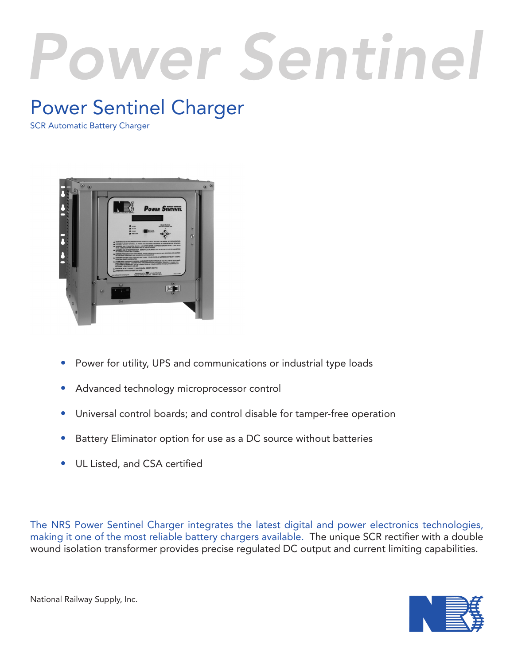# Power Sentinel

# Power Sentinel Charger

SCR Automatic Battery Charger



- Power for utility, UPS and communications or industrial type loads
- Advanced technology microprocessor control
- Universal control boards; and control disable for tamper-free operation
- Battery Eliminator option for use as a DC source without batteries
- UL Listed, and CSA certified

The NRS Power Sentinel Charger integrates the latest digital and power electronics technologies, making it one of the most reliable battery chargers available. The unique SCR rectifier with a double wound isolation transformer provides precise regulated DC output and current limiting capabilities.



National Railway Supply, Inc.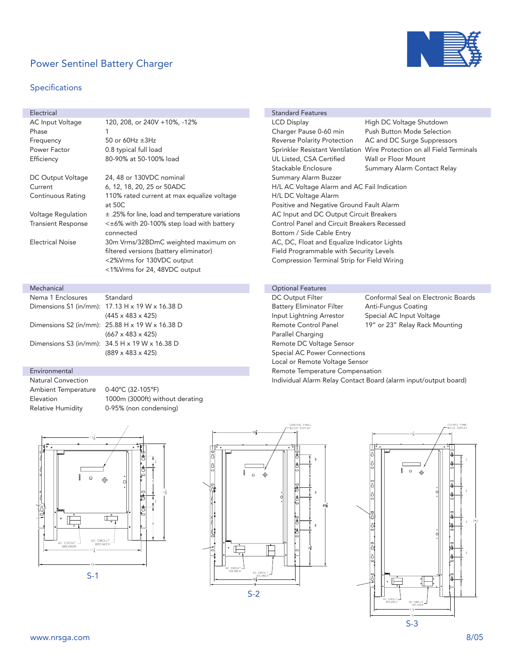# Power Sentinel Battery Charger

### Specifications



| Electrical                |                                                                                                                                            |  |  |  |  |
|---------------------------|--------------------------------------------------------------------------------------------------------------------------------------------|--|--|--|--|
| AC Input Voltage          | 120, 208, or 240V +10%, -12%                                                                                                               |  |  |  |  |
| Phase                     | 1                                                                                                                                          |  |  |  |  |
| Frequency                 | 50 or 60Hz $\pm$ 3Hz                                                                                                                       |  |  |  |  |
| Power Factor              | 0.8 typical full load                                                                                                                      |  |  |  |  |
| Efficiency                | 80-90% at 50-100% load                                                                                                                     |  |  |  |  |
|                           |                                                                                                                                            |  |  |  |  |
| DC Output Voltage         | 24, 48 or 130VDC nominal                                                                                                                   |  |  |  |  |
| Current                   | 6, 12, 18, 20, 25 or 50ADC                                                                                                                 |  |  |  |  |
| Continuous Rating         | 110% rated current at max equalize voltage<br>at $50C$                                                                                     |  |  |  |  |
| Voltage Regulation        | $\pm$ .25% for line, load and temperature variations                                                                                       |  |  |  |  |
| <b>Transient Response</b> | $\leq$ $\pm$ 6% with 20-100% step load with battery<br>connected                                                                           |  |  |  |  |
| <b>Electrical Noise</b>   | 30m Vrms/32BDmC weighted maximum on<br>filtered versions (battery eliminator)<br><2%Vrms for 130VDC output<br><1%Vrms for 24, 48VDC output |  |  |  |  |
|                           |                                                                                                                                            |  |  |  |  |

#### Mechanical

| Nema 1 Enclosures | Standard                                          |  |  |  |
|-------------------|---------------------------------------------------|--|--|--|
|                   | Dimensions S1 (in/mm): 17.13 H x 19 W x 16.38 D   |  |  |  |
|                   | $(445 \times 483 \times 425)$                     |  |  |  |
|                   | Dimensions S2 (in/mm): $25.88$ H x 19 W x 16.38 D |  |  |  |
|                   | $(667 \times 483 \times 425)$                     |  |  |  |
|                   | Dimensions S3 (in/mm): $34.5$ H x 19 W x 16.38 D  |  |  |  |
|                   | $(889 \times 483 \times 425)$                     |  |  |  |
|                   |                                                   |  |  |  |

#### Environmental

Natural Convection Ambient Temperature 0-40ºC (32-105ºF)

Elevation 1000m (3000ft) without derating Relative Humidity 0-95% (non condensing)





|                                             | <b>Standard Features</b>                    |                                                                        |  |  |  |  |
|---------------------------------------------|---------------------------------------------|------------------------------------------------------------------------|--|--|--|--|
|                                             | <b>LCD Display</b>                          | High DC Voltage Shutdown                                               |  |  |  |  |
|                                             | Charger Pause 0-60 min                      | <b>Push Button Mode Selection</b>                                      |  |  |  |  |
|                                             | Reverse Polarity Protection                 | AC and DC Surge Suppressors                                            |  |  |  |  |
|                                             |                                             | Sprinkler Resistant Ventilation Wire Protection on all Field Terminals |  |  |  |  |
|                                             | UL Listed, CSA Certified                    | Wall or Floor Mount                                                    |  |  |  |  |
|                                             | Stackable Enclosure                         | Summary Alarm Contact Relay                                            |  |  |  |  |
|                                             | Summary Alarm Buzzer                        |                                                                        |  |  |  |  |
| H/L AC Voltage Alarm and AC Fail Indication |                                             |                                                                        |  |  |  |  |
| H/L DC Voltage Alarm                        |                                             |                                                                        |  |  |  |  |
| Positive and Negative Ground Fault Alarm    |                                             |                                                                        |  |  |  |  |
| AC Input and DC Output Circuit Breakers     |                                             |                                                                        |  |  |  |  |
|                                             | Control Panel and Circuit Breakers Recessed |                                                                        |  |  |  |  |
|                                             | Bottom / Side Cable Entry                   |                                                                        |  |  |  |  |
|                                             | AC, DC, Float and Equalize Indicator Lights |                                                                        |  |  |  |  |
|                                             | Field Programmable with Security Levels     |                                                                        |  |  |  |  |
|                                             | Compression Terminal Strip for Field Wiring |                                                                        |  |  |  |  |
|                                             |                                             |                                                                        |  |  |  |  |

#### Optional Features

| Conformal Seal on Electronic Boards                             |  |  |  |  |  |  |
|-----------------------------------------------------------------|--|--|--|--|--|--|
| Anti-Fungus Coating                                             |  |  |  |  |  |  |
| Special AC Input Voltage                                        |  |  |  |  |  |  |
| 19" or 23" Relay Rack Mounting                                  |  |  |  |  |  |  |
| Parallel Charging                                               |  |  |  |  |  |  |
| Remote DC Voltage Sensor                                        |  |  |  |  |  |  |
| Special AC Power Connections                                    |  |  |  |  |  |  |
| Local or Remote Voltage Sensor                                  |  |  |  |  |  |  |
| Remote Temperature Compensation                                 |  |  |  |  |  |  |
| Individual Alarm Relay Contact Board (alarm input/output board) |  |  |  |  |  |  |
|                                                                 |  |  |  |  |  |  |

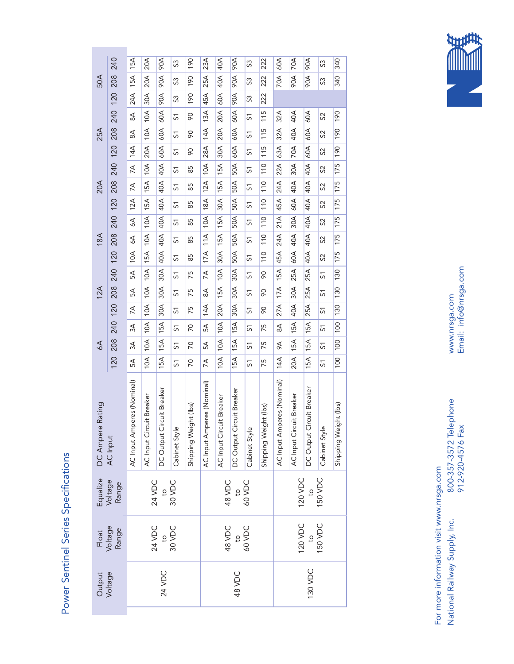

Email: info@nrsga.com Email: info@nrsga.com www.nrsga.com www.nrsga.com

800-357-3572 Telephone<br>912-920-4576 Fax 912-920-4576 Fax

208 240 40A  $60A$ **A06** 15A **AOC**  $23A$ 120 208 240 24A 15A 15A  $20A$ 30A 20A 20A 90A 90A 90A 190 45A 25A 23A 60A 40A 40A A06 90A 90A 90A **222** 70A 60A **AO** 90A 70A 90A 90A 340 S 190 190 190 အ 222 222 222 S3 S3 340 340 S3 S3 S3 S3 S3 S3 50A 15A  $20A$  $25A$ 40A **A06** 70A 80A **POR** 340 **A06 O61** 222 အ S 208 240 120 208 240 120 208 240 120 208 240 120  $24A$ 60A 30A **A06 O61** 45A **POA** 222  ${\mathbb S}^2$ အ  $20A$ 60A  $10A$ 60A  $13A$ **115** 60A 80  $32A$ 40A 120 208 240  $\stackrel{\triangle}{\! \infty}$ 20A 10A 10A 60A 60A 60A  $8$ 28A 14A 13A 30A 20A 20A 60A 60A 60A 115 115 115 63A 32A 32A 70A 40A 40A 60A 60A 60A 190 190 190 14A 8A 8A  $\overline{\mathrm{S}}$  $\overline{5}$  $8$ 90 90 90 S2 S2 S2 S1 S1 S1 S1 S1 S1  $20A$ 60A 25A  $14A$ 60A 190 10A 60A <sup>115</sup> 32A 40A  $\mathop{\mathbb{S}}$  $8$  $\overline{\mathrm{S}}$  $8$  $\overline{5}$ 30A 60A  $20A$ 60A  $28A$ **115** 63A 60A 190 14 $A$ **AO**  $\sqrt{2}$  $\overline{\mathrm{S}}$  $8$ <mark>ನ</mark> 50A  $15A$  $10A$ 40A  $10A$ 40A **110**  $22A$  $30A$ 175 175 175  $7A$ 120 208 240 15A 15A 10A 40A 40A 40A 18A 12A 10A 30A 15A 15A 50A 50A 50A 45A 24A 22A 60A 40A 30A 40A 40A 40A  $\sqrt{2}$  $85$ <mark>ನ</mark> 110 110 110 175 175 175 12A 7A 7A  $\overline{\mathrm{S}}$ 85 85 85 S2 S2 S2 S1 S1 S1 S1 S1 S1 50A 20A 15A 40A  $12A$ 30A 15A **110**  $24A$ 40A 40A  $7A$  $5\overline{5}$  $\sqrt{2}$  $85$  $\overline{\mathrm{S}}$  $15A$ 50A  $12A$ 40A 18A **110** 45A 60A 40A 89  $\overline{5}$  $\sqrt{2}$  $\overline{\mathrm{S}}$ 15A 50A  $21A$ 175 175 175  $10A$ 40A  $10A$ **110**  $\overline{\mathsf{BA}}$ 40A  $\delta$ 15A 10A 10A 40A 40A 40A 17A 11A 10A 30A 15A 15A 50A 50A 50A  $\overline{5}$ 45A 24A 21A 60A 40A 30A 40A 40A 40A 120 208 240 85 110 110 110  $8$ 175 175 175 10A 6A 6A 51 85 85 85 S2 S2 S2 S1 S1 S1 S1 S1 S1 15A 50A 18A  $10A$  $11A$  $\boxed{110}$  $24A$ 40A 40A 40A  $\mathcal{L}_{\mathcal{O}}$ 51 85 <mark>ನ</mark>  $8$  $15A$  $17A$ 30A 50A 45A **110** 60A 40A  $10A$ 40A  $\frac{1}{2}$  $\infty$  $\overline{\mathrm{S}}$ 85  $10A$ 30A 130  $10A$ 30A  $\overline{15A}$  $\overline{25A}$  $25A$  $5A$ 120 208 240 10A 10A 10A 30A 30A 30A  $\preceq$ 20A 15A 10A 30A 30A 30A  $8<sup>o</sup>$ 27A 17A 15A 40A 30A 25A 25A 25A 25A  $\overline{75}$  $\overline{\omega}$  $\frac{1}{2}$ 130 130 130 7A 5A 5A  $\overline{\mathrm{S}}$ 75 75 75 14A 8A 7A 90 90 90 S1 S1 S1 S1 S1 S1 S1 S1 S1  $15A$ 30A 130 12A  $10A$ 30A  $\overline{17A}$ 30A  $25A$  $\mathbb S$  $\mathbb{S}^{\mathbb{C}}$  $\overline{\mathrm{S}}$  $\overline{75}$  $\overline{5}$  $8<sup>o</sup>$  $\frac{1}{2}$ 120 20A 130  $10A$ 30A  $\boxed{27A}$ 25A 30A 14 $A$ 40A  $\overline{5}$  $7A$  $\overline{\mathrm{S}}$  $\overline{75}$  $\overline{\omega}$  $8<sup>o</sup>$ 240  $10A$ 15A  $|8$  $10A$  $15A$ 15A  $15A$ 120 208 240 10A 10A 10A 15A 15A 15A  $5A$ 10A 10A 10A 15A 15A 15A 20A 15A 15A 15A 15A 15A  $\frac{1}{\sqrt{2}}$  $3A$  $\overline{S}$  $\overline{C}$ 5  $5<sup>7</sup>$  $\stackrel{\triangle}{\approx}$ 100 100 100 5A 3A 3A 7A 5A 5A 14A 9A 8A 70 70 70 75 75 75 S1 S1 S1 S1 S1 S1 S1 S1 S1 208  $10A$ 15A 100  $10A$ 15A 15A 15A 6A  $\overline{5}$  $3A$  $\overline{C}$  $5\Delta$ 5  $75$  $\approx$  $\overline{\mathrm{S}}$  $120$  $10A$  $15A$  $20A$  $|00|$  $10A$ 14 $A$ 15A 15A  $\frac{2}{\sqrt{2}}$  $5A$  $\overline{C}$  $\preceq$ 5  $75$  $\overline{\mathrm{S}}$ AC Input Amperes (Nominal) AC Input Amperes (Nominal) AC Input Amperes (Nominal) AC Input Amperes (Nominal) AC Input Amperes (Nominal) AC Input Amperes (Nominal) DC Output Circuit Breaker DC Output Circuit Breaker DC Output Circuit Breaker DC Output Circuit Breaker DC Output Circuit Breaker DC Output Circuit Breaker AC Input Circuit Breaker AC Input Circuit Breaker AC Input Circuit Breaker AC Input Circuit Breaker AC Input Circuit Breaker AC Input Circuit Breaker DC Ampere Rating Shipping Weight (lbs) Shipping Weight (lbs) DC Ampere Rating Shipping Weight (lbs) Shipping Weight (lbs) Shipping Weight (lbs) Shipping Weight (lbs) Cabinet Style Cabinet Style Cabinet Style Cabinet Style Cabinet Style Cabinet Style AC Input 150 VDC Equalize Voltage Range 120 VDC 24 VDC 30 VDC 48 VDC 60 VDC to to to 120 VDC 150 VDC Voltage 48 VDC Range 24 VDC 30 VDC 60 VDC Float to to to 24 VDC Output Voltage 130 VDC 48 VDC

Power Sentinel Series Specifications

Power Sentinel Series Specifications

For more information visit www.nrsga.com For more information visit www.nrsga.com

National Railway Supply, Inc. 800-357-3572 Telephone National Railway Supply, Inc.